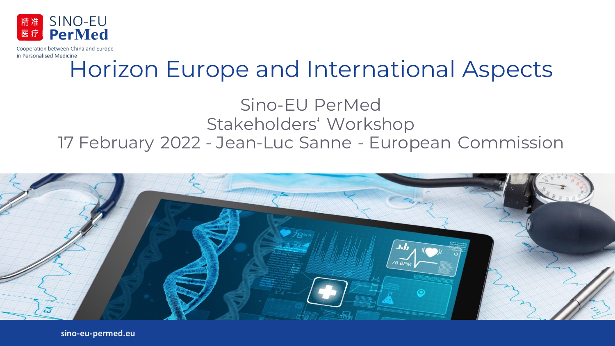

# Horizon Europe and International Aspects

Sino-EU PerMed Stakeholders' Workshop 17 February 2022 - Jean-Luc Sanne - European Commission



**sino-eu-permed.eu**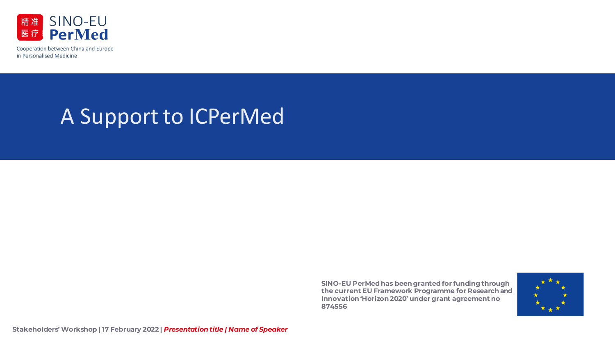

## A Support to ICPerMed

**SINO-EU PerMed has been grantedfor funding through the current EU Framework Programme for Research and Innovation 'Horizon 2020' under grant agreement no 874556**



**Stakeholders' Workshop | 17 February 2022 |** *Presentation title | Name of Speaker*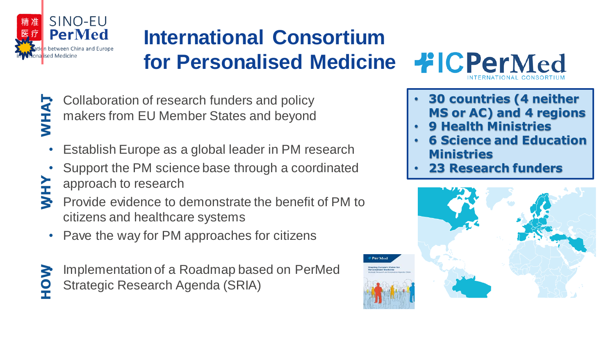

## **International Consortium for Personalised Medicine**

**WHAT**

• Collaboration of research funders and policy makers from EU Member States and beyond

- Establish Europe as a global leader in PM research
- Support the PM science base through a coordinated approach to research
- Provide evidence to demonstrate the benefit of PM to citizens and healthcare systems **WHY**
	- Pave the way for PM approaches for citizens
- Implementation of a Roadmap based on PerMed Strategic Research Agenda (SRIA) **HOW**



- **30 countries (4 neither MS or AC) and 4 regions**
- **9 Health Ministries**
- **6 Science and Education Ministries**
- **23 Research funders**



**Portato**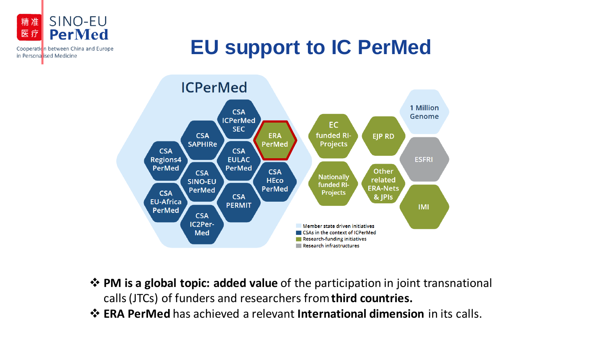

in Persona ised Medicine

**EU support to IC PerMed**



- ❖ **PM is a global topic: added value** of the participation in joint transnational calls (JTCs) of funders and researchers from **third countries.**
- ❖ **ERA PerMed** has achieved a relevant **International dimension** in its calls.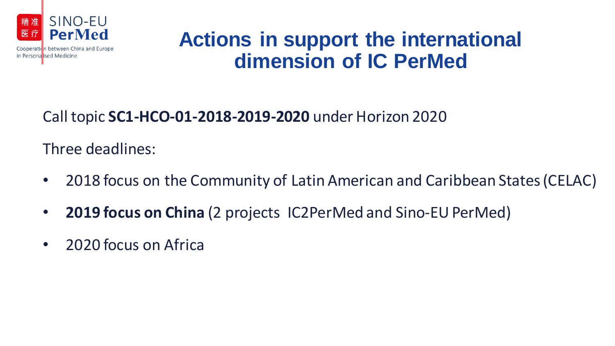

## **Actions in support the international dimension of IC PerMed**

### Call topic **SC1-HCO-01-2018-2019-2020** under Horizon 2020

Three deadlines:

- 2018 focus on the Community of Latin American and Caribbean States (CELAC)
- **2019 focus on China** (2 projects IC2PerMed and Sino-EU PerMed)
- 2020 focus on Africa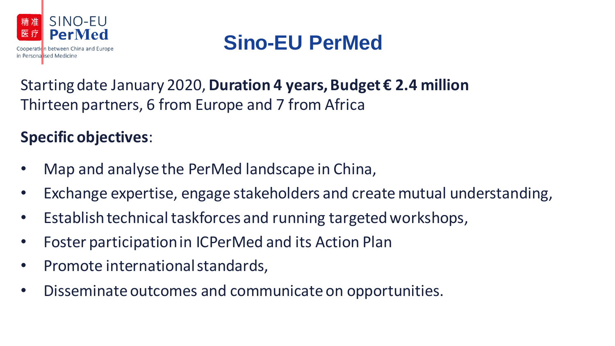

## **Sino-EU PerMed**

### Starting date January 2020, **Duration 4 years, Budget € 2.4 million** Thirteen partners, 6 from Europe and 7 from Africa

### **Specific objectives**:

- Map and analyse the PerMed landscape in China,
- Exchange expertise, engage stakeholders and create mutual understanding,
- Establish technical taskforces and running targeted workshops,
- Foster participation in ICPerMed and its Action Plan
- Promote international standards,
- Disseminate outcomes and communicate on opportunities.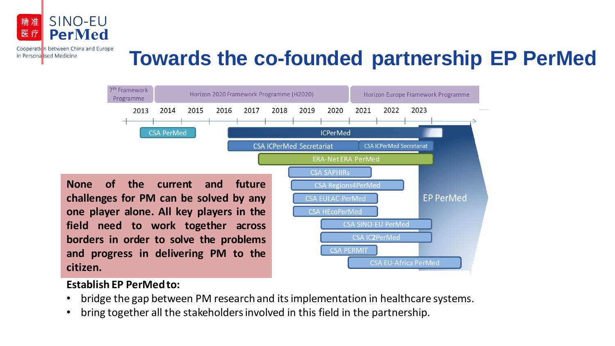

in Personalised Medicine

### **Towards the co-founded partnership EP PerMed**



#### **Establish EP PerMed to:**

- bridge the gap between PM research and its implementation in healthcare systems.
- bring together all the stakeholders involved in this field in the partnership.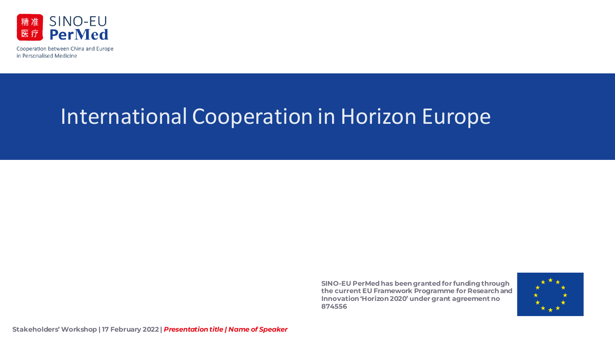

## International Cooperation in Horizon Europe

**SINO-EU PerMed has been grantedfor funding through the current EU Framework Programme for Research and Innovation 'Horizon 2020' under grant agreement no 874556**

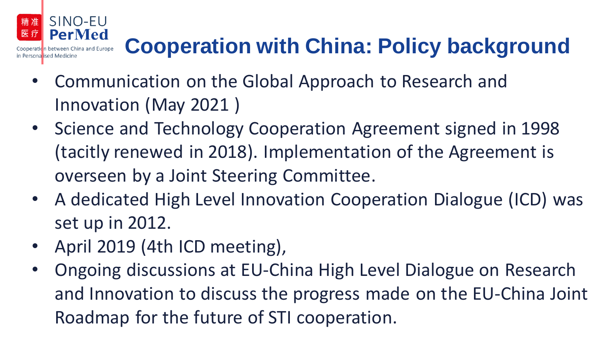#### SINO-EU 精准 **PerMed**

# **Cooperation with China: Policy background**

- Communication on the Global Approach to Research and Innovation (May 2021 )
- Science and Technology Cooperation Agreement signed in 1998 (tacitly renewed in 2018). Implementation of the Agreement is overseen by a Joint Steering Committee.
- A dedicated High Level Innovation Cooperation Dialogue (ICD) was set up in 2012.
- April 2019 (4th ICD meeting),
- Ongoing discussions at EU-China High Level Dialogue on Research and Innovation to discuss the progress made on the EU-China Joint Roadmap for the future of STI cooperation.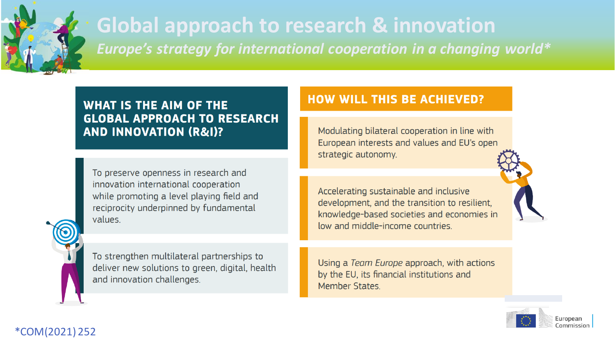

### **Global approach to research & innovation** *Europe's strategy for international cooperation in a changing world\**

### **WHAT IS THE AIM OF THE GLOBAL APPROACH TO RESEARCH AND INNOVATION (R&I)?**

To preserve openness in research and innovation international cooperation while promoting a level playing field and reciprocity underpinned by fundamental values.

To strengthen multilateral partnerships to deliver new solutions to green, digital, health and innovation challenges.

### **HOW WILL THIS BE ACHIEVED?**

Modulating bilateral cooperation in line with European interests and values and EU's open strategic autonomy.

Accelerating sustainable and inclusive development, and the transition to resilient, knowledge-based societies and economies in low and middle-income countries.

Using a Team Europe approach, with actions by the EU, its financial institutions and Member States.



#### \*COM(2021) 252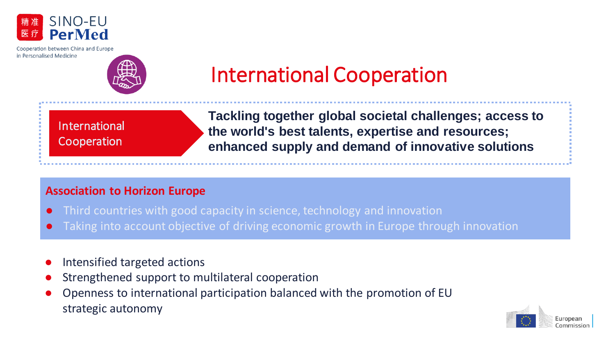



## International Cooperation

International Cooperation

**Tackling together global societal challenges; access to the world's best talents, expertise and resources; enhanced supply and demand of innovative solutions**

#### **Association to Horizon Europe**

- Third countries with good capacity in science, technology and innovation
- Taking into account objective of driving economic growth in Europe through innovation
- Intensified targeted actions
- Strengthened support to multilateral cooperation
- Openness to international participation balanced with the promotion of EU strategic autonomy

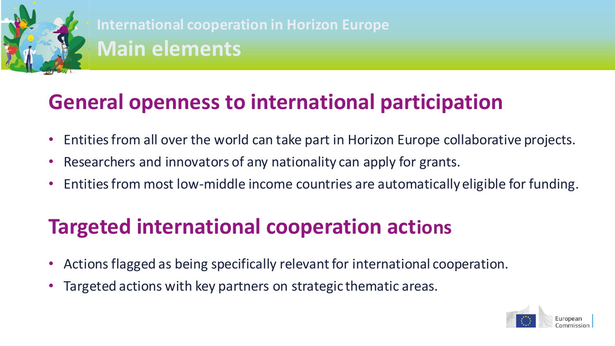

**International cooperation in Horizon Europe Main elements**

## **General openness to international participation**

- Entities from all over the world can take part in Horizon Europe collaborative projects.
- Researchers and innovators of any nationality can apply for grants.
- Entities from most low-middle income countries are automatically eligible for funding.

## **Targeted international cooperation actions**

- Actions flagged as being specifically relevant for international cooperation.
- Targeted actions with key partners on strategic thematic areas.

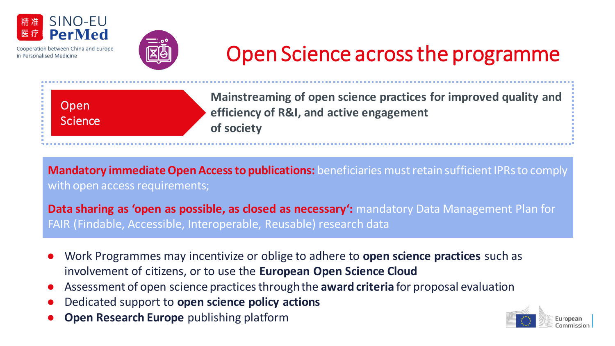



# Open Science across the programme

Open Science **Mainstreaming of open science practices for improved quality and efficiency of R&I, and active engagement of society**

**Mandatory immediate Open Access to publications:** beneficiaries must retain sufficient IPRs to comply with open access requirements;

**Data sharing as 'open as possible, as closed as necessary':** mandatory Data Management Plan for FAIR (Findable, Accessible, Interoperable, Reusable) research data

- Work Programmes may incentivize or oblige to adhere to **open science practices** such as involvement of citizens, or to use the **European Open Science Cloud**
- Assessment of open science practices through the **award criteria** for proposal evaluation
- Dedicated support to **open science policy actions**
- **Open Research Europe** publishing platform